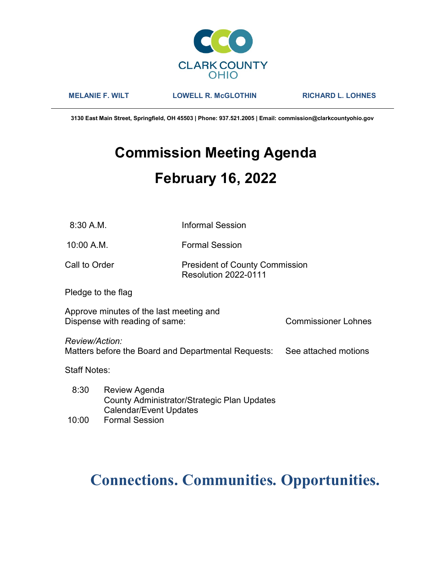

MELANIE F. WILT LOWELL R. McGLOTHIN RICHARD L. LOHNES

3130 East Main Street, Springfield, OH 45503 | Phone: 937.521.2005 | Email: commission@clarkcountyohio.gov

# Commission Meeting Agenda February 16, 2022

10:00 A.M. Formal Session

## Call to Order **President of County Commission** Resolution 2022-0111

Pledge to the flag

Approve minutes of the last meeting and Dispense with reading of same: Commissioner Lohnes

Review/Action:

Matters before the Board and Departmental Requests: See attached motions

Staff Notes:

 8:30 Review Agenda County Administrator/Strategic Plan Updates Calendar/Event Updates

## 10:00 Formal Session

# Connections. Communities. Opportunities.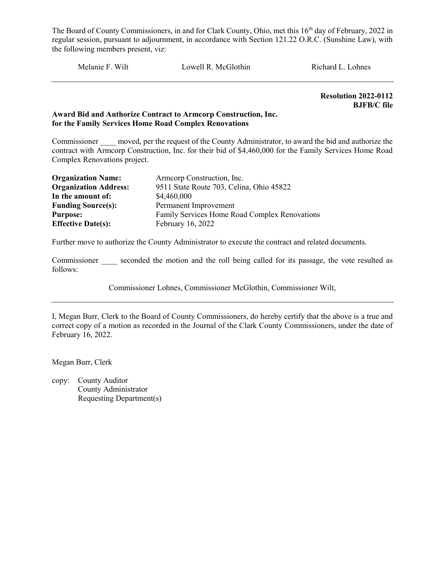Melanie F. Wilt Lowell R. McGlothin Richard L. Lohnes

Resolution 2022-0112 BJFB/C file

#### Award Bid and Authorize Contract to Armcorp Construction, Inc. for the Family Services Home Road Complex Renovations

Commissioner moved, per the request of the County Administrator, to award the bid and authorize the contract with Armcorp Construction, Inc. for their bid of \$4,460,000 for the Family Services Home Road Complex Renovations project.

| <b>Organization Name:</b>    | Armeorp Construction, Inc.                    |
|------------------------------|-----------------------------------------------|
| <b>Organization Address:</b> | 9511 State Route 703, Celina, Ohio 45822      |
| In the amount of:            | \$4,460,000                                   |
| <b>Funding Source(s):</b>    | Permanent Improvement                         |
| <b>Purpose:</b>              | Family Services Home Road Complex Renovations |
| <b>Effective Date(s):</b>    | February 16, 2022                             |

Further move to authorize the County Administrator to execute the contract and related documents.

Commissioner seconded the motion and the roll being called for its passage, the vote resulted as follows:

Commissioner Lohnes, Commissioner McGlothin, Commissioner Wilt,

I, Megan Burr, Clerk to the Board of County Commissioners, do hereby certify that the above is a true and correct copy of a motion as recorded in the Journal of the Clark County Commissioners, under the date of February 16, 2022.

Megan Burr, Clerk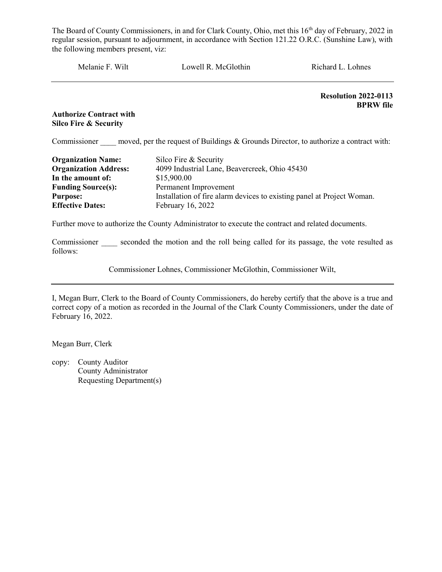| Melanie F. Wilt                | Lowell R. McGlothin | Richard L. Lohnes                        |
|--------------------------------|---------------------|------------------------------------------|
|                                |                     | Resolution 2022-0113<br><b>BPRW</b> file |
| <b>Authorize Contract with</b> |                     |                                          |

Silco Fire & Security

Commissioner moved, per the request of Buildings  $&$  Grounds Director, to authorize a contract with:

| <b>Organization Name:</b>    | Silco Fire & Security                                                  |
|------------------------------|------------------------------------------------------------------------|
| <b>Organization Address:</b> | 4099 Industrial Lane, Beavercreek, Ohio 45430                          |
| In the amount of:            | \$15,900.00                                                            |
| <b>Funding Source(s):</b>    | Permanent Improvement                                                  |
| <b>Purpose:</b>              | Installation of fire alarm devices to existing panel at Project Woman. |
| <b>Effective Dates:</b>      | February 16, 2022                                                      |

Further move to authorize the County Administrator to execute the contract and related documents.

Commissioner \_\_\_\_ seconded the motion and the roll being called for its passage, the vote resulted as follows:

Commissioner Lohnes, Commissioner McGlothin, Commissioner Wilt,

I, Megan Burr, Clerk to the Board of County Commissioners, do hereby certify that the above is a true and correct copy of a motion as recorded in the Journal of the Clark County Commissioners, under the date of February 16, 2022.

Megan Burr, Clerk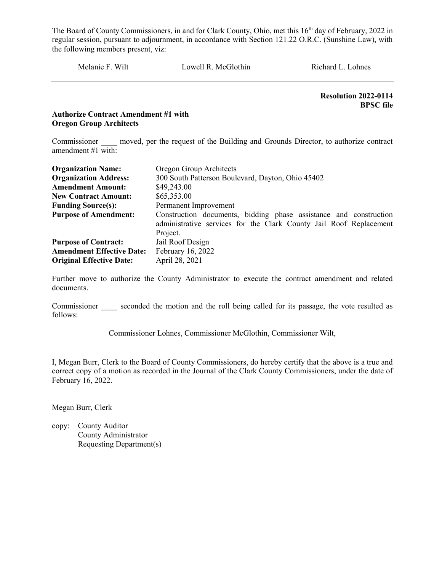Melanie F. Wilt Lowell R. McGlothin Richard L. Lohnes

 Resolution 2022-0114 BPSC file

#### Authorize Contract Amendment #1 with Oregon Group Architects

Commissioner moved, per the request of the Building and Grounds Director, to authorize contract amendment #1 with:

| <b>Organization Name:</b>        | Oregon Group Architects                                            |  |  |
|----------------------------------|--------------------------------------------------------------------|--|--|
| <b>Organization Address:</b>     | 300 South Patterson Boulevard, Dayton, Ohio 45402                  |  |  |
| <b>Amendment Amount:</b>         | \$49,243.00                                                        |  |  |
| <b>New Contract Amount:</b>      | \$65,353.00                                                        |  |  |
| <b>Funding Source(s):</b>        | Permanent Improvement                                              |  |  |
| <b>Purpose of Amendment:</b>     | Construction documents, bidding phase assistance and construction  |  |  |
|                                  | administrative services for the Clark County Jail Roof Replacement |  |  |
|                                  | Project.                                                           |  |  |
| <b>Purpose of Contract:</b>      | Jail Roof Design                                                   |  |  |
| <b>Amendment Effective Date:</b> | February 16, 2022                                                  |  |  |
| <b>Original Effective Date:</b>  | April 28, 2021                                                     |  |  |

Further move to authorize the County Administrator to execute the contract amendment and related documents.

Commissioner seconded the motion and the roll being called for its passage, the vote resulted as follows:

Commissioner Lohnes, Commissioner McGlothin, Commissioner Wilt,

I, Megan Burr, Clerk to the Board of County Commissioners, do hereby certify that the above is a true and correct copy of a motion as recorded in the Journal of the Clark County Commissioners, under the date of February 16, 2022.

Megan Burr, Clerk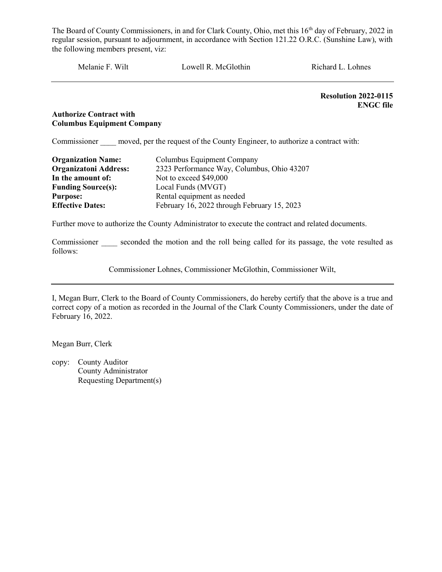Melanie F. Wilt Lowell R. McGlothin Richard L. Lohnes

Resolution 2022-0115 ENGC file

#### Authorize Contract with Columbus Equipment Company

Commissioner moved, per the request of the County Engineer, to authorize a contract with:

| <b>Organization Name:</b>    | Columbus Equipment Company                  |
|------------------------------|---------------------------------------------|
| <b>Organizatoni Address:</b> | 2323 Performance Way, Columbus, Ohio 43207  |
| In the amount of:            | Not to exceed \$49,000                      |
| <b>Funding Source(s):</b>    | Local Funds (MVGT)                          |
| <b>Purpose:</b>              | Rental equipment as needed                  |
| <b>Effective Dates:</b>      | February 16, 2022 through February 15, 2023 |

Further move to authorize the County Administrator to execute the contract and related documents.

Commissioner seconded the motion and the roll being called for its passage, the vote resulted as follows:

Commissioner Lohnes, Commissioner McGlothin, Commissioner Wilt,

I, Megan Burr, Clerk to the Board of County Commissioners, do hereby certify that the above is a true and correct copy of a motion as recorded in the Journal of the Clark County Commissioners, under the date of February 16, 2022.

Megan Burr, Clerk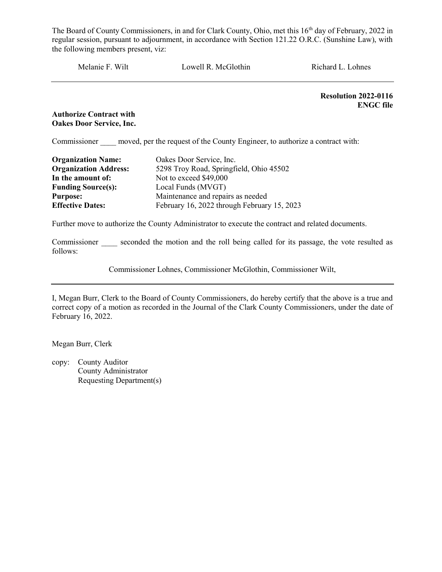Melanie F. Wilt Lowell R. McGlothin Richard L. Lohnes

Resolution 2022-0116 ENGC file

#### Authorize Contract with Oakes Door Service, Inc.

Commissioner moved, per the request of the County Engineer, to authorize a contract with:

| <b>Organization Name:</b>    | Oakes Door Service, Inc.                    |
|------------------------------|---------------------------------------------|
| <b>Organization Address:</b> | 5298 Troy Road, Springfield, Ohio 45502     |
| In the amount of:            | Not to exceed \$49,000                      |
| <b>Funding Source(s):</b>    | Local Funds (MVGT)                          |
| <b>Purpose:</b>              | Maintenance and repairs as needed           |
| <b>Effective Dates:</b>      | February 16, 2022 through February 15, 2023 |

Further move to authorize the County Administrator to execute the contract and related documents.

Commissioner seconded the motion and the roll being called for its passage, the vote resulted as follows:

Commissioner Lohnes, Commissioner McGlothin, Commissioner Wilt,

I, Megan Burr, Clerk to the Board of County Commissioners, do hereby certify that the above is a true and correct copy of a motion as recorded in the Journal of the Clark County Commissioners, under the date of February 16, 2022.

Megan Burr, Clerk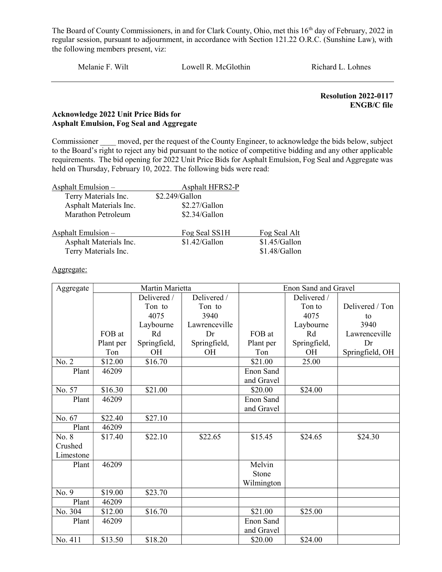Melanie F. Wilt Lowell R. McGlothin Richard L. Lohnes

 Resolution 2022-0117 ENGB/C file

#### Acknowledge 2022 Unit Price Bids for Asphalt Emulsion, Fog Seal and Aggregate

Commissioner moved, per the request of the County Engineer, to acknowledge the bids below, subject to the Board's right to reject any bid pursuant to the notice of competitive bidding and any other applicable requirements. The bid opening for 2022 Unit Price Bids for Asphalt Emulsion, Fog Seal and Aggregate was held on Thursday, February 10, 2022. The following bids were read:

| Asphalt Emulsion -     | Asphalt HFRS2-P |               |
|------------------------|-----------------|---------------|
| Terry Materials Inc.   | \$2.249/Gallon  |               |
| Asphalt Materials Inc. | \$2.27/Gallon   |               |
| Marathon Petroleum     | \$2.34/Gallon   |               |
| Asphalt Emulsion $-$   | Fog Seal SS1H   | Fog Seal Alt  |
| Asphalt Materials Inc. | \$1.42/Gallon   | \$1.45/Gallon |
| Terry Materials Inc.   |                 | \$1.48/Gallon |

Aggregate:

| Aggregate           | Martin Marietta |              |               | Enon Sand and Gravel |              |                 |
|---------------------|-----------------|--------------|---------------|----------------------|--------------|-----------------|
|                     |                 | Delivered /  | Delivered /   |                      | Delivered /  |                 |
|                     |                 | Ton to       | Ton to        |                      | Ton to       | Delivered / Ton |
|                     |                 | 4075         | 3940          |                      | 4075         | to              |
|                     |                 | Laybourne    | Lawrenceville |                      | Laybourne    | 3940            |
|                     | FOB at          | Rd           | Dr            | FOB at               | Rd           | Lawrenceville   |
|                     | Plant per       | Springfield, | Springfield,  | Plant per            | Springfield, | Dr              |
|                     | Ton             | OH           | OH            | Ton                  | <b>OH</b>    | Springfield, OH |
| No. 2               | \$12.00         | \$16.70      |               | \$21.00              | 25.00        |                 |
| Plant               | 46209           |              |               | Enon Sand            |              |                 |
|                     |                 |              |               | and Gravel           |              |                 |
| No. $5\overline{7}$ | \$16.30         | \$21.00      |               | \$20.00              | \$24.00      |                 |
| Plant               | 46209           |              |               | Enon Sand            |              |                 |
|                     |                 |              |               | and Gravel           |              |                 |
| No. 67              | \$22.40         | \$27.10      |               |                      |              |                 |
| Plant               | 46209           |              |               |                      |              |                 |
| No. 8               | \$17.40         | \$22.10      | \$22.65       | \$15.45              | \$24.65      | \$24.30         |
| Crushed             |                 |              |               |                      |              |                 |
| Limestone           |                 |              |               |                      |              |                 |
| Plant               | 46209           |              |               | Melvin               |              |                 |
|                     |                 |              |               | Stone                |              |                 |
|                     |                 |              |               | Wilmington           |              |                 |
| No. 9               | \$19.00         | \$23.70      |               |                      |              |                 |
| Plant               | 46209           |              |               |                      |              |                 |
| No. 304             | \$12.00         | \$16.70      |               | \$21.00              | \$25.00      |                 |
| Plant               | 46209           |              |               | Enon Sand            |              |                 |
|                     |                 |              |               | and Gravel           |              |                 |
| No. 411             | \$13.50         | \$18.20      |               | \$20.00              | \$24.00      |                 |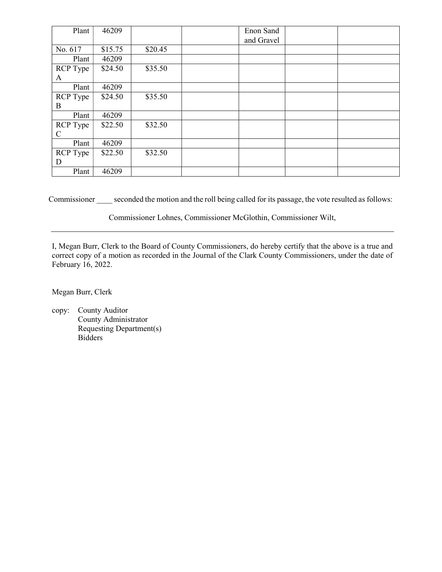| Plant                            | 46209   |         | Enon Sand<br>and Gravel |  |
|----------------------------------|---------|---------|-------------------------|--|
| No. 617                          | \$15.75 | \$20.45 |                         |  |
| Plant                            | 46209   |         |                         |  |
| <b>RCP</b> Type<br>A             | \$24.50 | \$35.50 |                         |  |
| Plant                            | 46209   |         |                         |  |
| <b>RCP</b> Type<br>B             | \$24.50 | \$35.50 |                         |  |
| Plant                            | 46209   |         |                         |  |
| <b>RCP</b> Type<br>$\mathcal{C}$ | \$22.50 | \$32.50 |                         |  |
| Plant                            | 46209   |         |                         |  |
| <b>RCP</b> Type<br>D             | \$22.50 | \$32.50 |                         |  |
| Plant                            | 46209   |         |                         |  |

Commissioner seconded the motion and the roll being called for its passage, the vote resulted as follows:

Commissioner Lohnes, Commissioner McGlothin, Commissioner Wilt,

I, Megan Burr, Clerk to the Board of County Commissioners, do hereby certify that the above is a true and correct copy of a motion as recorded in the Journal of the Clark County Commissioners, under the date of February 16, 2022.

Megan Burr, Clerk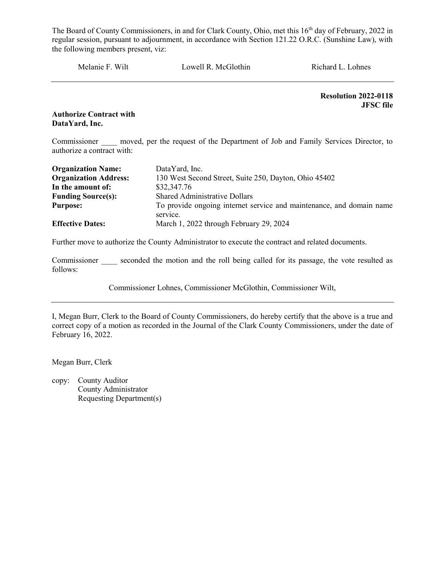Melanie F. Wilt Lowell R. McGlothin Richard L. Lohnes

Resolution 2022-0118 JFSC file

Authorize Contract with DataYard, Inc.

Commissioner moved, per the request of the Department of Job and Family Services Director, to authorize a contract with:

| <b>Organization Name:</b>    | DataYard, Inc.                                                       |
|------------------------------|----------------------------------------------------------------------|
| <b>Organization Address:</b> | 130 West Second Street, Suite 250, Dayton, Ohio 45402                |
| In the amount of:            | \$32,347.76                                                          |
| <b>Funding Source(s):</b>    | <b>Shared Administrative Dollars</b>                                 |
| <b>Purpose:</b>              | To provide ongoing internet service and maintenance, and domain name |
|                              | service.                                                             |
| <b>Effective Dates:</b>      | March 1, 2022 through February 29, 2024                              |

Further move to authorize the County Administrator to execute the contract and related documents.

Commissioner seconded the motion and the roll being called for its passage, the vote resulted as follows:

Commissioner Lohnes, Commissioner McGlothin, Commissioner Wilt,

I, Megan Burr, Clerk to the Board of County Commissioners, do hereby certify that the above is a true and correct copy of a motion as recorded in the Journal of the Clark County Commissioners, under the date of February 16, 2022.

Megan Burr, Clerk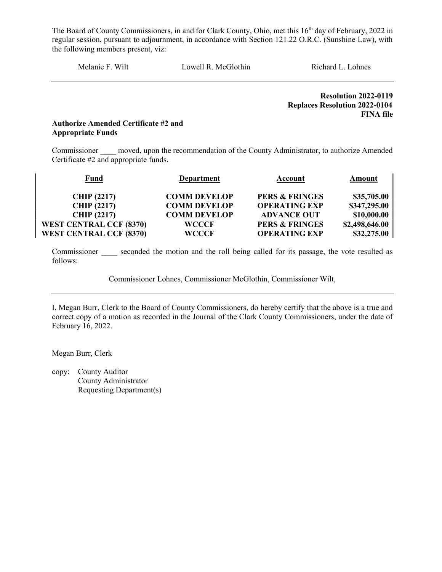Melanie F. Wilt Lowell R. McGlothin Richard L. Lohnes

 Resolution 2022-0119 Replaces Resolution 2022-0104 FINA file

#### Authorize Amended Certificate #2 and Appropriate Funds

Commissioner moved, upon the recommendation of the County Administrator, to authorize Amended Certificate #2 and appropriate funds.

| <b>Fund</b>                    | <b>Department</b>   | Account                   | Amount         |
|--------------------------------|---------------------|---------------------------|----------------|
| <b>CHIP (2217)</b>             | <b>COMM DEVELOP</b> | <b>PERS &amp; FRINGES</b> | \$35,705.00    |
| <b>CHIP (2217)</b>             | <b>COMM DEVELOP</b> | <b>OPERATING EXP</b>      | \$347,295.00   |
| <b>CHIP (2217)</b>             | <b>COMM DEVELOP</b> | <b>ADVANCE OUT</b>        | \$10,000.00    |
| <b>WEST CENTRAL CCF (8370)</b> | <b>WCCCF</b>        | <b>PERS &amp; FRINGES</b> | \$2,498,646.00 |
| <b>WEST CENTRAL CCF (8370)</b> | <b>WCCCF</b>        | <b>OPERATING EXP</b>      | \$32,275.00    |

Commissioner seconded the motion and the roll being called for its passage, the vote resulted as follows:

Commissioner Lohnes, Commissioner McGlothin, Commissioner Wilt,

I, Megan Burr, Clerk to the Board of County Commissioners, do hereby certify that the above is a true and correct copy of a motion as recorded in the Journal of the Clark County Commissioners, under the date of February 16, 2022.

Megan Burr, Clerk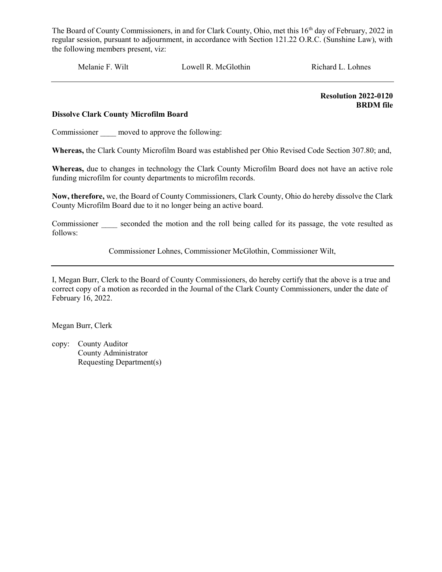Melanie F. Wilt Lowell R. McGlothin Richard L. Lohnes

 Resolution 2022-0120 BRDM file

#### Dissolve Clark County Microfilm Board

Commissioner moved to approve the following:

Whereas, the Clark County Microfilm Board was established per Ohio Revised Code Section 307.80; and,

Whereas, due to changes in technology the Clark County Microfilm Board does not have an active role funding microfilm for county departments to microfilm records.

Now, therefore, we, the Board of County Commissioners, Clark County, Ohio do hereby dissolve the Clark County Microfilm Board due to it no longer being an active board.

Commissioner seconded the motion and the roll being called for its passage, the vote resulted as follows:

Commissioner Lohnes, Commissioner McGlothin, Commissioner Wilt,

I, Megan Burr, Clerk to the Board of County Commissioners, do hereby certify that the above is a true and correct copy of a motion as recorded in the Journal of the Clark County Commissioners, under the date of February 16, 2022.

Megan Burr, Clerk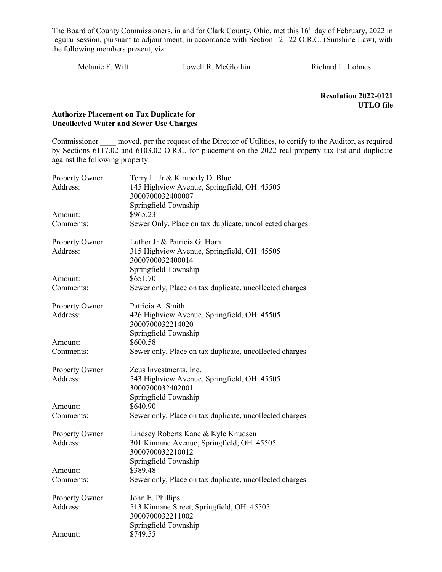Melanie F. Wilt Lowell R. McGlothin Richard L. Lohnes

 Resolution 2022-0121 UTLO file

#### Authorize Placement on Tax Duplicate for Uncollected Water and Sewer Use Charges

Commissioner moved, per the request of the Director of Utilities, to certify to the Auditor, as required by Sections 6117.02 and 6103.02 O.R.C. for placement on the 2022 real property tax list and duplicate against the following property:

| Property Owner: | Terry L. Jr & Kimberly D. Blue                                 |
|-----------------|----------------------------------------------------------------|
| Address:        | 145 Highview Avenue, Springfield, OH 45505                     |
|                 | 3000700032400007                                               |
|                 | Springfield Township                                           |
| Amount:         | \$965.23                                                       |
| Comments:       | Sewer Only, Place on tax duplicate, uncollected charges        |
| Property Owner: | Luther Jr & Patricia G. Horn                                   |
| Address:        | 315 Highview Avenue, Springfield, OH 45505<br>3000700032400014 |
| Amount:         | Springfield Township<br>\$651.70                               |
| Comments:       | Sewer only, Place on tax duplicate, uncollected charges        |
|                 |                                                                |
| Property Owner: | Patricia A. Smith                                              |
| Address:        | 426 Highview Avenue, Springfield, OH 45505                     |
|                 | 3000700032214020                                               |
|                 | Springfield Township                                           |
| Amount:         | \$600.58                                                       |
| Comments:       | Sewer only, Place on tax duplicate, uncollected charges        |
| Property Owner: | Zeus Investments, Inc.                                         |
| Address:        | 543 Highview Avenue, Springfield, OH 45505                     |
|                 | 3000700032402001                                               |
|                 | Springfield Township                                           |
| Amount:         | \$640.90                                                       |
| Comments:       | Sewer only, Place on tax duplicate, uncollected charges        |
| Property Owner: | Lindsey Roberts Kane & Kyle Knudsen                            |
| Address:        | 301 Kinnane Avenue, Springfield, OH 45505                      |
|                 | 3000700032210012                                               |
|                 | Springfield Township                                           |
| Amount:         | \$389.48                                                       |
| Comments:       | Sewer only, Place on tax duplicate, uncollected charges        |
| Property Owner: | John E. Phillips                                               |
| Address:        | 513 Kinnane Street, Springfield, OH 45505                      |
|                 | 3000700032211002                                               |
|                 | Springfield Township                                           |
| Amount:         | \$749.55                                                       |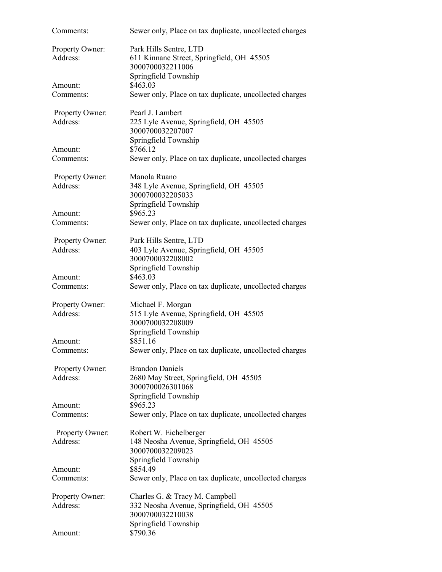| Comments:                   | Sewer only, Place on tax duplicate, uncollected charges                                                                |
|-----------------------------|------------------------------------------------------------------------------------------------------------------------|
| Property Owner:<br>Address: | Park Hills Sentre, LTD<br>611 Kinnane Street, Springfield, OH 45505<br>3000700032211006<br>Springfield Township        |
| Amount:                     | \$463.03                                                                                                               |
| Comments:                   | Sewer only, Place on tax duplicate, uncollected charges                                                                |
| Property Owner:<br>Address: | Pearl J. Lambert<br>225 Lyle Avenue, Springfield, OH 45505<br>3000700032207007<br>Springfield Township                 |
| Amount:                     | \$766.12                                                                                                               |
| Comments:                   | Sewer only, Place on tax duplicate, uncollected charges                                                                |
| Property Owner:<br>Address: | Manola Ruano<br>348 Lyle Avenue, Springfield, OH 45505<br>3000700032205033                                             |
| Amount:                     | Springfield Township<br>\$965.23                                                                                       |
| Comments:                   | Sewer only, Place on tax duplicate, uncollected charges                                                                |
| Property Owner:<br>Address: | Park Hills Sentre, LTD<br>403 Lyle Avenue, Springfield, OH 45505<br>3000700032208002                                   |
| Amount:<br>Comments:        | Springfield Township<br>\$463.03<br>Sewer only, Place on tax duplicate, uncollected charges                            |
|                             |                                                                                                                        |
| Property Owner:<br>Address: | Michael F. Morgan<br>515 Lyle Avenue, Springfield, OH 45505<br>3000700032208009                                        |
| Amount:                     | Springfield Township<br>\$851.16                                                                                       |
| Comments:                   | Sewer only, Place on tax duplicate, uncollected charges                                                                |
| Property Owner:<br>Address: | <b>Brandon Daniels</b><br>2680 May Street, Springfield, OH 45505<br>3000700026301068                                   |
| Amount:                     | Springfield Township<br>\$965.23                                                                                       |
| Comments:                   | Sewer only, Place on tax duplicate, uncollected charges                                                                |
| Property Owner:<br>Address: | Robert W. Eichelberger<br>148 Neosha Avenue, Springfield, OH 45505<br>3000700032209023<br>Springfield Township         |
| Amount:                     | \$854.49                                                                                                               |
| Comments:                   | Sewer only, Place on tax duplicate, uncollected charges                                                                |
| Property Owner:<br>Address: | Charles G. & Tracy M. Campbell<br>332 Neosha Avenue, Springfield, OH 45505<br>3000700032210038<br>Springfield Township |
| Amount:                     | \$790.36                                                                                                               |
|                             |                                                                                                                        |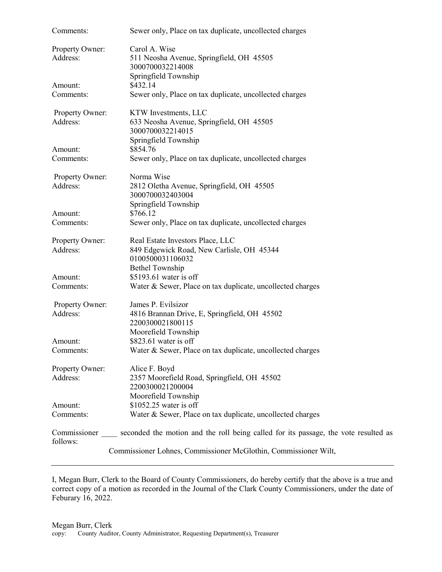| Comments:                   | Sewer only, Place on tax duplicate, uncollected charges                             |
|-----------------------------|-------------------------------------------------------------------------------------|
| Property Owner:<br>Address: | Carol A. Wise<br>511 Neosha Avenue, Springfield, OH 45505<br>3000700032214008       |
|                             | Springfield Township                                                                |
| Amount:<br>Comments:        | \$432.14<br>Sewer only, Place on tax duplicate, uncollected charges                 |
|                             |                                                                                     |
| Property Owner:             | KTW Investments, LLC                                                                |
| Address:                    | 633 Neosha Avenue, Springfield, OH 45505<br>3000700032214015                        |
|                             | Springfield Township                                                                |
| Amount:<br>Comments:        | \$854.76<br>Sewer only, Place on tax duplicate, uncollected charges                 |
|                             |                                                                                     |
| Property Owner:             | Norma Wise                                                                          |
| Address:                    | 2812 Oletha Avenue, Springfield, OH 45505<br>3000700032403004                       |
|                             | Springfield Township                                                                |
| Amount:                     | \$766.12                                                                            |
| Comments:                   | Sewer only, Place on tax duplicate, uncollected charges                             |
| Property Owner:             | Real Estate Investors Place, LLC                                                    |
| Address:                    | 849 Edgewick Road, New Carlisle, OH 45344                                           |
|                             | 0100500031106032                                                                    |
| Amount:                     | <b>Bethel Township</b><br>\$5193.61 water is off                                    |
| Comments:                   | Water & Sewer, Place on tax duplicate, uncollected charges                          |
|                             |                                                                                     |
| Property Owner:             | James P. Evilsizor                                                                  |
| Address:                    | 4816 Brannan Drive, E, Springfield, OH 45502<br>2200300021800115                    |
|                             | Moorefield Township                                                                 |
| Amount:                     | \$823.61 water is off                                                               |
| Comments:                   | Water & Sewer, Place on tax duplicate, uncollected charges                          |
| Property Owner:             | Alice F. Boyd                                                                       |
| Address:                    | 2357 Moorefield Road, Springfield, OH 45502                                         |
|                             | 2200300021200004                                                                    |
|                             | Moorefield Township                                                                 |
| Amount:                     | \$1052.25 water is off                                                              |
| Comments:                   | Water & Sewer, Place on tax duplicate, uncollected charges                          |
| Commissioner                | seconded the motion and the roll being called for its passage, the vote resulted as |
| follows:                    |                                                                                     |
|                             | Commissioner Lohnes, Commissioner McGlothin, Commissioner Wilt,                     |

I, Megan Burr, Clerk to the Board of County Commissioners, do hereby certify that the above is a true and correct copy of a motion as recorded in the Journal of the Clark County Commissioners, under the date of Feburary 16, 2022.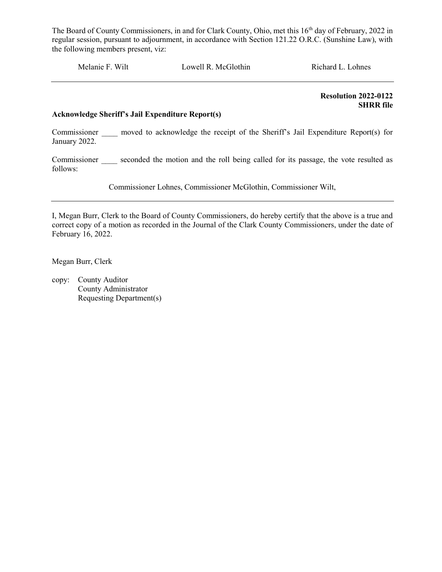Melanie F. Wilt Lowell R. McGlothin Richard L. Lohnes

 Resolution 2022-0122 SHRR file

#### Acknowledge Sheriff's Jail Expenditure Report(s)

Commissioner \_\_\_\_\_ moved to acknowledge the receipt of the Sheriff's Jail Expenditure Report(s) for January 2022.

Commissioner seconded the motion and the roll being called for its passage, the vote resulted as follows:

Commissioner Lohnes, Commissioner McGlothin, Commissioner Wilt,

I, Megan Burr, Clerk to the Board of County Commissioners, do hereby certify that the above is a true and correct copy of a motion as recorded in the Journal of the Clark County Commissioners, under the date of February 16, 2022.

Megan Burr, Clerk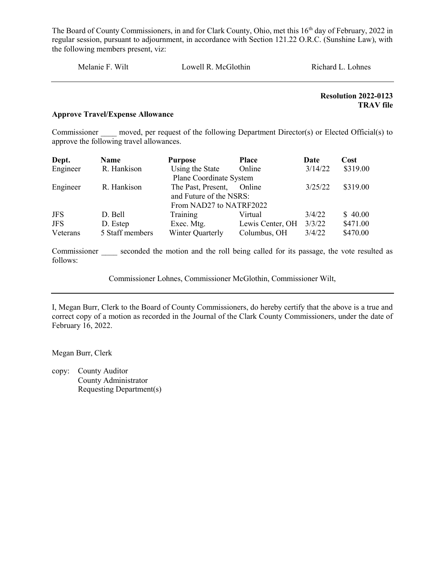| Melanie F. Wilt | Lowell R. McGlothin | Richard L. Lohnes |
|-----------------|---------------------|-------------------|
|                 |                     |                   |

Resolution 2022-0123 TRAV file

#### Approve Travel/Expense Allowance

Commissioner moved, per request of the following Department Director(s) or Elected Official(s) to approve the following travel allowances.

| Dept.      | Name            | <b>Purpose</b>          | <b>Place</b>     | Date    | Cost     |
|------------|-----------------|-------------------------|------------------|---------|----------|
| Engineer   | R. Hankison     | Using the State         | Online           | 3/14/22 | \$319.00 |
|            |                 | Plane Coordinate System |                  |         |          |
| Engineer   | R. Hankison     | The Past, Present,      | Online           | 3/25/22 | \$319.00 |
|            |                 | and Future of the NSRS: |                  |         |          |
|            |                 | From NAD27 to NATRF2022 |                  |         |          |
| <b>JFS</b> | D. Bell         | Training                | Virtual          | 3/4/22  | \$40.00  |
| <b>JFS</b> | D. Estep        | Exec. Mtg.              | Lewis Center, OH | 3/3/22  | \$471.00 |
| Veterans   | 5 Staff members | Winter Quarterly        | Columbus, OH     | 3/4/22  | \$470.00 |

Commissioner seconded the motion and the roll being called for its passage, the vote resulted as follows:

Commissioner Lohnes, Commissioner McGlothin, Commissioner Wilt,

I, Megan Burr, Clerk to the Board of County Commissioners, do hereby certify that the above is a true and correct copy of a motion as recorded in the Journal of the Clark County Commissioners, under the date of February 16, 2022.

Megan Burr, Clerk